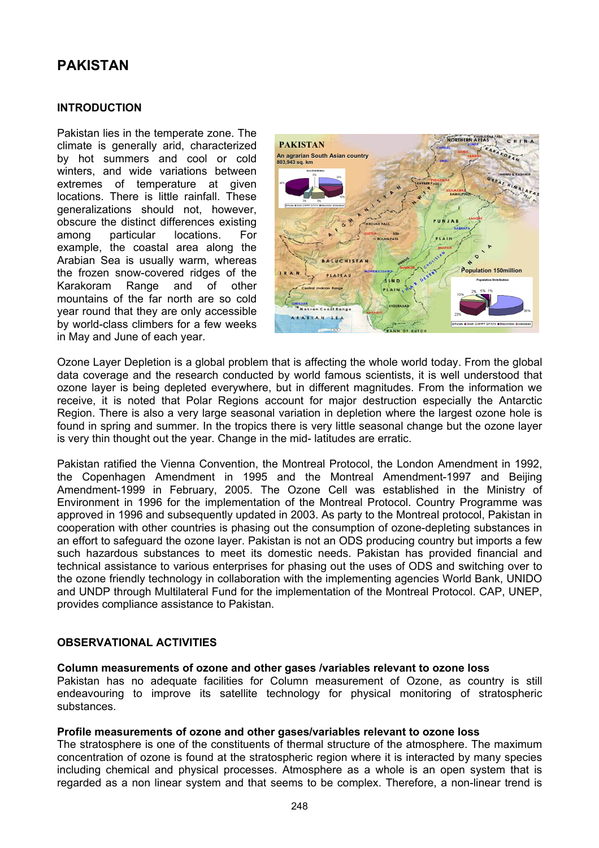# **PAKISTAN**

## **INTRODUCTION**

Pakistan lies in the temperate zone. The climate is generally arid, characterized by hot summers and cool or cold winters, and wide variations between extremes of temperature at given locations. There is little rainfall. These generalizations should not, however, obscure the distinct differences existing among particular locations. For example, the coastal area along the Arabian Sea is usually warm, whereas the frozen snow-covered ridges of the Karakoram Range and of other mountains of the far north are so cold year round that they are only accessible by world-class climbers for a few weeks in May and June of each year.



Ozone Layer Depletion is a global problem that is affecting the whole world today. From the global data coverage and the research conducted by world famous scientists, it is well understood that ozone layer is being depleted everywhere, but in different magnitudes. From the information we receive, it is noted that Polar Regions account for major destruction especially the Antarctic Region. There is also a very large seasonal variation in depletion where the largest ozone hole is found in spring and summer. In the tropics there is very little seasonal change but the ozone layer is very thin thought out the year. Change in the mid- latitudes are erratic.

Pakistan ratified the Vienna Convention, the Montreal Protocol, the London Amendment in 1992, the Copenhagen Amendment in 1995 and the Montreal Amendment-1997 and Beijing Amendment-1999 in February, 2005. The Ozone Cell was established in the Ministry of Environment in 1996 for the implementation of the Montreal Protocol. Country Programme was approved in 1996 and subsequently updated in 2003. As party to the Montreal protocol, Pakistan in cooperation with other countries is phasing out the consumption of ozone-depleting substances in an effort to safeguard the ozone layer. Pakistan is not an ODS producing country but imports a few such hazardous substances to meet its domestic needs. Pakistan has provided financial and technical assistance to various enterprises for phasing out the uses of ODS and switching over to the ozone friendly technology in collaboration with the implementing agencies World Bank, UNIDO and UNDP through Multilateral Fund for the implementation of the Montreal Protocol. CAP, UNEP, provides compliance assistance to Pakistan.

## **OBSERVATIONAL ACTIVITIES**

#### **Column measurements of ozone and other gases /variables relevant to ozone loss**

Pakistan has no adequate facilities for Column measurement of Ozone, as country is still endeavouring to improve its satellite technology for physical monitoring of stratospheric substances.

#### **Profile measurements of ozone and other gases/variables relevant to ozone loss**

The stratosphere is one of the constituents of thermal structure of the atmosphere. The maximum concentration of ozone is found at the stratospheric region where it is interacted by many species including chemical and physical processes. Atmosphere as a whole is an open system that is regarded as a non linear system and that seems to be complex. Therefore, a non-linear trend is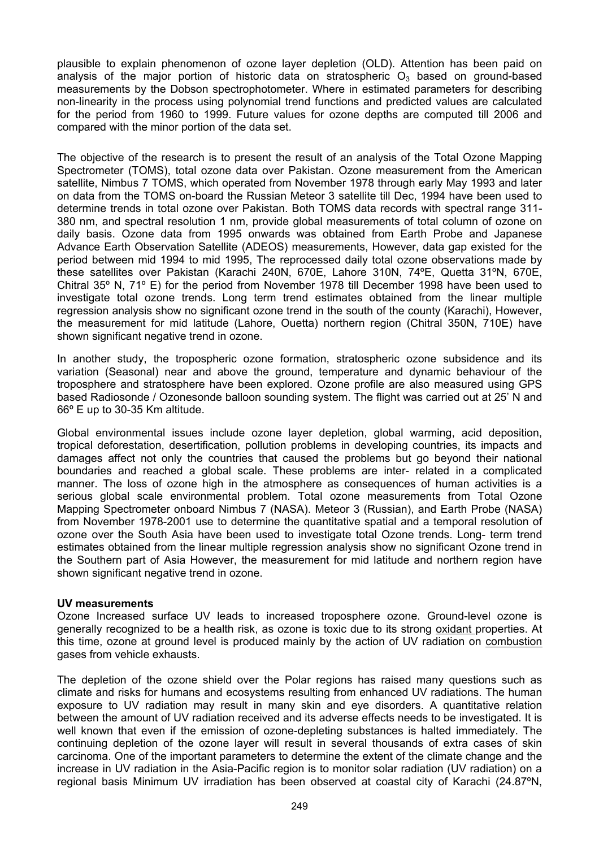plausible to explain phenomenon of ozone layer depletion (OLD). Attention has been paid on analysis of the major portion of historic data on stratospheric  $O_3$  based on ground-based measurements by the Dobson spectrophotometer. Where in estimated parameters for describing non-linearity in the process using polynomial trend functions and predicted values are calculated for the period from 1960 to 1999. Future values for ozone depths are computed till 2006 and compared with the minor portion of the data set.

The objective of the research is to present the result of an analysis of the Total Ozone Mapping Spectrometer (TOMS), total ozone data over Pakistan. Ozone measurement from the American satellite, Nimbus 7 TOMS, which operated from November 1978 through early May 1993 and later on data from the TOMS on-board the Russian Meteor 3 satellite till Dec, 1994 have been used to determine trends in total ozone over Pakistan. Both TOMS data records with spectral range 311- 380 nm, and spectral resolution 1 nm, provide global measurements of total column of ozone on daily basis. Ozone data from 1995 onwards was obtained from Earth Probe and Japanese Advance Earth Observation Satellite (ADEOS) measurements, However, data gap existed for the period between mid 1994 to mid 1995, The reprocessed daily total ozone observations made by these satellites over Pakistan (Karachi 240N, 670E, Lahore 310N, 74ºE, Quetta 31ºN, 670E, Chitral 35º N, 71º E) for the period from November 1978 till December 1998 have been used to investigate total ozone trends. Long term trend estimates obtained from the linear multiple regression analysis show no significant ozone trend in the south of the county (Karachi), However, the measurement for mid latitude (Lahore, Ouetta) northern region (Chitral 350N, 710E) have shown significant negative trend in ozone.

In another study, the tropospheric ozone formation, stratospheric ozone subsidence and its variation (Seasonal) near and above the ground, temperature and dynamic behaviour of the troposphere and stratosphere have been explored. Ozone profile are also measured using GPS based Radiosonde / Ozonesonde balloon sounding system. The flight was carried out at 25' N and 66º E up to 30-35 Km altitude.

Global environmental issues include ozone layer depletion, global warming, acid deposition, tropical deforestation, desertification, pollution problems in developing countries, its impacts and damages affect not only the countries that caused the problems but go beyond their national boundaries and reached a global scale. These problems are inter- related in a complicated manner. The loss of ozone high in the atmosphere as consequences of human activities is a serious global scale environmental problem. Total ozone measurements from Total Ozone Mapping Spectrometer onboard Nimbus 7 (NASA). Meteor 3 (Russian), and Earth Probe (NASA) from November 1978-2001 use to determine the quantitative spatial and a temporal resolution of ozone over the South Asia have been used to investigate total Ozone trends. Long- term trend estimates obtained from the linear multiple regression analysis show no significant Ozone trend in the Southern part of Asia However, the measurement for mid latitude and northern region have shown significant negative trend in ozone.

## **UV measurements**

Ozone Increased surface UV leads to increased troposphere ozone. Ground-level ozone is generally recognized to be a health risk, as ozone is toxic due to its strong [oxidant](http://en.wikipedia.org/wiki/Redox) properties. At this time, ozone at ground level is produced mainly by the action of UV radiation on [combustion](http://en.wikipedia.org/wiki/Combustion) gases from vehicle exhausts.

The depletion of the ozone shield over the Polar regions has raised many questions such as climate and risks for humans and ecosystems resulting from enhanced UV radiations. The human exposure to UV radiation may result in many skin and eye disorders. A quantitative relation between the amount of UV radiation received and its adverse effects needs to be investigated. It is well known that even if the emission of ozone-depleting substances is halted immediately. The continuing depletion of the ozone layer will result in several thousands of extra cases of skin carcinoma. One of the important parameters to determine the extent of the climate change and the increase in UV radiation in the Asia-Pacific region is to monitor solar radiation (UV radiation) on a regional basis Minimum UV irradiation has been observed at coastal city of Karachi (24.87ºN,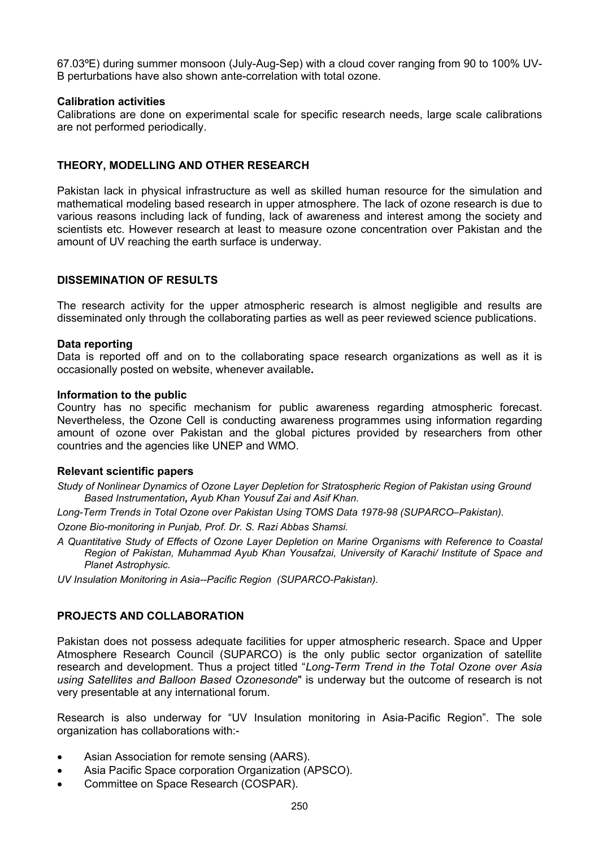67.03ºE) during summer monsoon (July-Aug-Sep) with a cloud cover ranging from 90 to 100% UV-B perturbations have also shown ante-correlation with total ozone.

#### **Calibration activities**

Calibrations are done on experimental scale for specific research needs, large scale calibrations are not performed periodically.

# **THEORY, MODELLING AND OTHER RESEARCH**

Pakistan lack in physical infrastructure as well as skilled human resource for the simulation and mathematical modeling based research in upper atmosphere. The lack of ozone research is due to various reasons including lack of funding, lack of awareness and interest among the society and scientists etc. However research at least to measure ozone concentration over Pakistan and the amount of UV reaching the earth surface is underway.

## **DISSEMINATION OF RESULTS**

The research activity for the upper atmospheric research is almost negligible and results are disseminated only through the collaborating parties as well as peer reviewed science publications.

#### **Data reporting**

Data is reported off and on to the collaborating space research organizations as well as it is occasionally posted on website, whenever available**.** 

#### **Information to the public**

Country has no specific mechanism for public awareness regarding atmospheric forecast. Nevertheless, the Ozone Cell is conducting awareness programmes using information regarding amount of ozone over Pakistan and the global pictures provided by researchers from other countries and the agencies like UNEP and WMO.

#### **Relevant scientific papers**

*Study of Nonlinear Dynamics of Ozone Layer Depletion for Stratospheric Region of Pakistan using Ground Based Instrumentation, Ayub Khan Yousuf Zai and Asif Khan.* 

*Long-Term Trends in Total Ozone over Pakistan Using TOMS Data 1978-98 (SUPARCO–Pakistan).* 

*Ozone Bio-monitoring in Punjab, Prof. Dr. S. Razi Abbas Shamsi.* 

- *A Quantitative Study of Effects of Ozone Layer Depletion on Marine Organisms with Reference to Coastal Region of Pakistan, Muhammad Ayub Khan Yousafzai, University of Karachi/ Institute of Space and Planet Astrophysic.*
- *UV Insulation Monitoring in Asia--Pacific Region (SUPARCO-Pakistan).*

## **PROJECTS AND COLLABORATION**

Pakistan does not possess adequate facilities for upper atmospheric research. Space and Upper Atmosphere Research Council (SUPARCO) is the only public sector organization of satellite research and development. Thus a project titled "*Long-Term Trend in the Total Ozone over Asia using Satellites and Balloon Based Ozonesonde*" is underway but the outcome of research is not very presentable at any international forum.

Research is also underway for "UV Insulation monitoring in Asia-Pacific Region". The sole organization has collaborations with:-

- Asian Association for remote sensing (AARS).
- Asia Pacific Space corporation Organization (APSCO).
- Committee on Space Research (COSPAR).